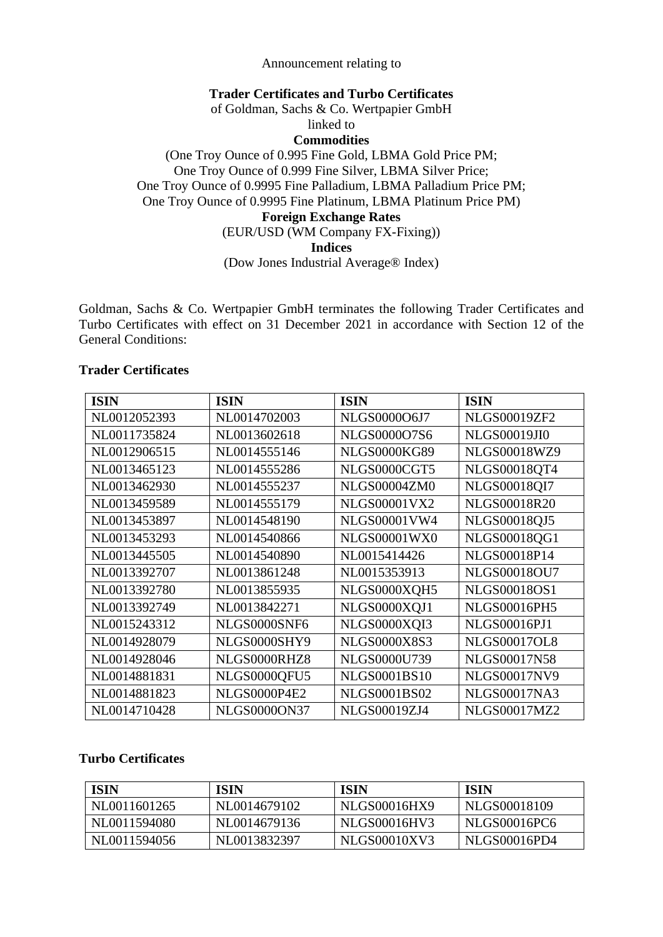## Announcement relating to

## **Trader Certificates and Turbo Certificates**

of Goldman, Sachs & Co. Wertpapier GmbH

linked to

**Commodities** 

(One Troy Ounce of 0.995 Fine Gold, LBMA Gold Price PM; One Troy Ounce of 0.999 Fine Silver, LBMA Silver Price; One Troy Ounce of 0.9995 Fine Palladium, LBMA Palladium Price PM; One Troy Ounce of 0.9995 Fine Platinum, LBMA Platinum Price PM) **Foreign Exchange Rates** 

(EUR/USD (WM Company FX-Fixing))

**Indices** 

(Dow Jones Industrial Average® Index)

Goldman, Sachs & Co. Wertpapier GmbH terminates the following Trader Certificates and Turbo Certificates with effect on 31 December 2021 in accordance with Section 12 of the General Conditions:

## **Trader Certificates**

| <b>ISIN</b>  | <b>ISIN</b>         | <b>ISIN</b>         | <b>ISIN</b>         |
|--------------|---------------------|---------------------|---------------------|
| NL0012052393 | NL0014702003        | NLGS0000O6J7        | <b>NLGS00019ZF2</b> |
| NL0011735824 | NL0013602618        | NLGS000007S6        | <b>NLGS00019JI0</b> |
| NL0012906515 | NL0014555146        | <b>NLGS0000KG89</b> | <b>NLGS00018WZ9</b> |
| NL0013465123 | NL0014555286        | NLGS0000CGT5        | NLGS00018QT4        |
| NL0013462930 | NL0014555237        | <b>NLGS00004ZM0</b> | NLGS00018QI7        |
| NL0013459589 | NL0014555179        | <b>NLGS00001VX2</b> | <b>NLGS00018R20</b> |
| NL0013453897 | NL0014548190        | <b>NLGS00001VW4</b> | <b>NLGS00018QJ5</b> |
| NL0013453293 | NL0014540866        | <b>NLGS00001WX0</b> | NLGS00018QG1        |
| NL0013445505 | NL0014540890        | NL0015414426        | NLGS00018P14        |
| NL0013392707 | NL0013861248        | NL0015353913        | <b>NLGS00018OU7</b> |
| NL0013392780 | NL0013855935        | NLGS0000XQH5        | <b>NLGS00018OS1</b> |
| NL0013392749 | NL0013842271        | NLGS0000XQJ1        | <b>NLGS00016PH5</b> |
| NL0015243312 | NLGS0000SNF6        | NLGS0000XQI3        | <b>NLGS00016PJ1</b> |
| NL0014928079 | NLGS0000SHY9        | <b>NLGS0000X8S3</b> | <b>NLGS00017OL8</b> |
| NL0014928046 | NLGS0000RHZ8        | <b>NLGS0000U739</b> | <b>NLGS00017N58</b> |
| NL0014881831 | NLGS0000QFU5        | <b>NLGS0001BS10</b> | <b>NLGS00017NV9</b> |
| NL0014881823 | <b>NLGS0000P4E2</b> | <b>NLGS0001BS02</b> | <b>NLGS00017NA3</b> |
| NL0014710428 | <b>NLGS0000ON37</b> | <b>NLGS00019ZJ4</b> | <b>NLGS00017MZ2</b> |

## **Turbo Certificates**

| <b>ISIN</b>  | <b>ISIN</b>  | ISIN         | <b>ISIN</b>  |
|--------------|--------------|--------------|--------------|
| NL0011601265 | NL0014679102 | NLGS00016HX9 | NLGS00018109 |
| NL0011594080 | NL0014679136 | NLGS00016HV3 | NLGS00016PC6 |
| NL0011594056 | NL0013832397 | NLGS00010XV3 | NLGS00016PD4 |